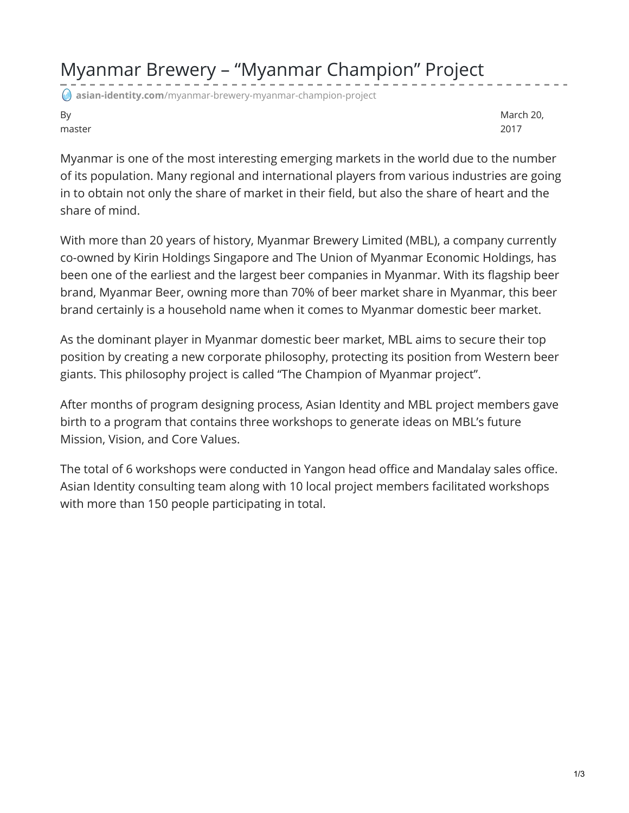## Myanmar Brewery – "Myanmar Champion" Project

**asian-identity.com**[/myanmar-brewery-myanmar-champion-project](https://www.asian-identity.com/myanmar-brewery-myanmar-champion-project/)

By master

March 20, 2017

Myanmar is one of the most interesting emerging markets in the world due to the number of its population. Many regional and international players from various industries are going in to obtain not only the share of market in their field, but also the share of heart and the share of mind.

With more than 20 years of history, Myanmar Brewery Limited (MBL), a company currently co-owned by Kirin Holdings Singapore and The Union of Myanmar Economic Holdings, has been one of the earliest and the largest beer companies in Myanmar. With its flagship beer brand, Myanmar Beer, owning more than 70% of beer market share in Myanmar, this beer brand certainly is a household name when it comes to Myanmar domestic beer market.

As the dominant player in Myanmar domestic beer market, MBL aims to secure their top position by creating a new corporate philosophy, protecting its position from Western beer giants. This philosophy project is called "The Champion of Myanmar project".

After months of program designing process, Asian Identity and MBL project members gave birth to a program that contains three workshops to generate ideas on MBL's future Mission, Vision, and Core Values.

The total of 6 workshops were conducted in Yangon head office and Mandalay sales office. Asian Identity consulting team along with 10 local project members facilitated workshops with more than 150 people participating in total.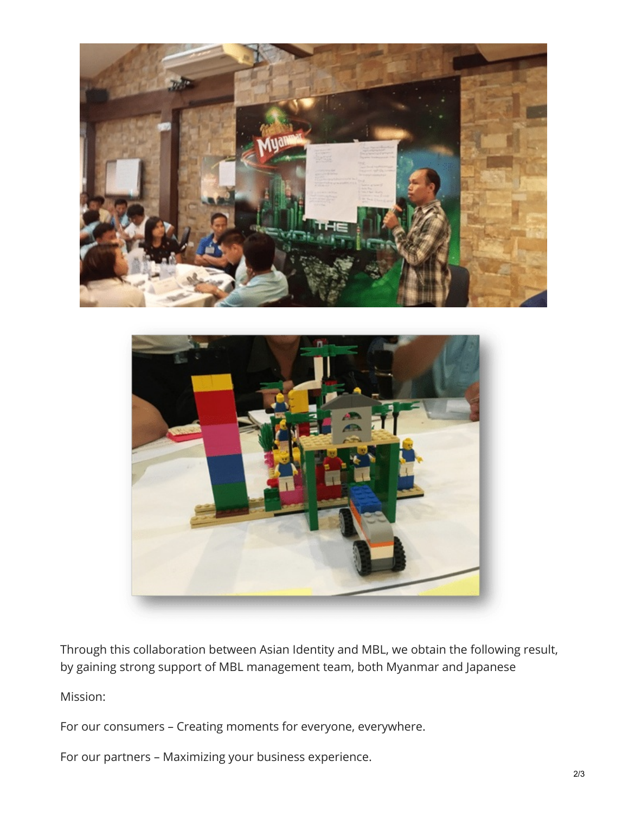



Through this collaboration between Asian Identity and MBL, we obtain the following result, by gaining strong support of MBL management team, both Myanmar and Japanese

Mission:

For our consumers – Creating moments for everyone, everywhere.

For our partners – Maximizing your business experience.